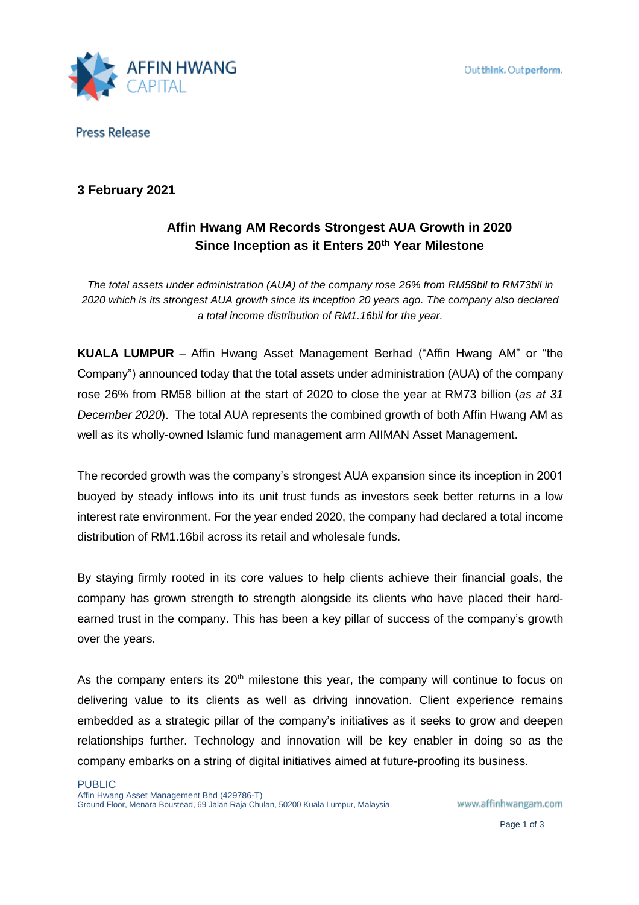

**Press Release** 

## **3 February 2021**

# **Affin Hwang AM Records Strongest AUA Growth in 2020 Since Inception as it Enters 20th Year Milestone**

*The total assets under administration (AUA) of the company rose 26% from RM58bil to RM73bil in 2020 which is its strongest AUA growth since its inception 20 years ago. The company also declared a total income distribution of RM1.16bil for the year.* 

**KUALA LUMPUR** – Affin Hwang Asset Management Berhad ("Affin Hwang AM" or "the Company") announced today that the total assets under administration (AUA) of the company rose 26% from RM58 billion at the start of 2020 to close the year at RM73 billion (*as at 31 December 2020*). The total AUA represents the combined growth of both Affin Hwang AM as well as its wholly-owned Islamic fund management arm AIIMAN Asset Management.

The recorded growth was the company's strongest AUA expansion since its inception in 2001 buoyed by steady inflows into its unit trust funds as investors seek better returns in a low interest rate environment. For the year ended 2020, the company had declared a total income distribution of RM1.16bil across its retail and wholesale funds.

By staying firmly rooted in its core values to help clients achieve their financial goals, the company has grown strength to strength alongside its clients who have placed their hardearned trust in the company. This has been a key pillar of success of the company's growth over the years.

As the company enters its  $20<sup>th</sup>$  milestone this year, the company will continue to focus on delivering value to its clients as well as driving innovation. Client experience remains embedded as a strategic pillar of the company's initiatives as it seeks to grow and deepen relationships further. Technology and innovation will be key enabler in doing so as the company embarks on a string of digital initiatives aimed at future-proofing its business.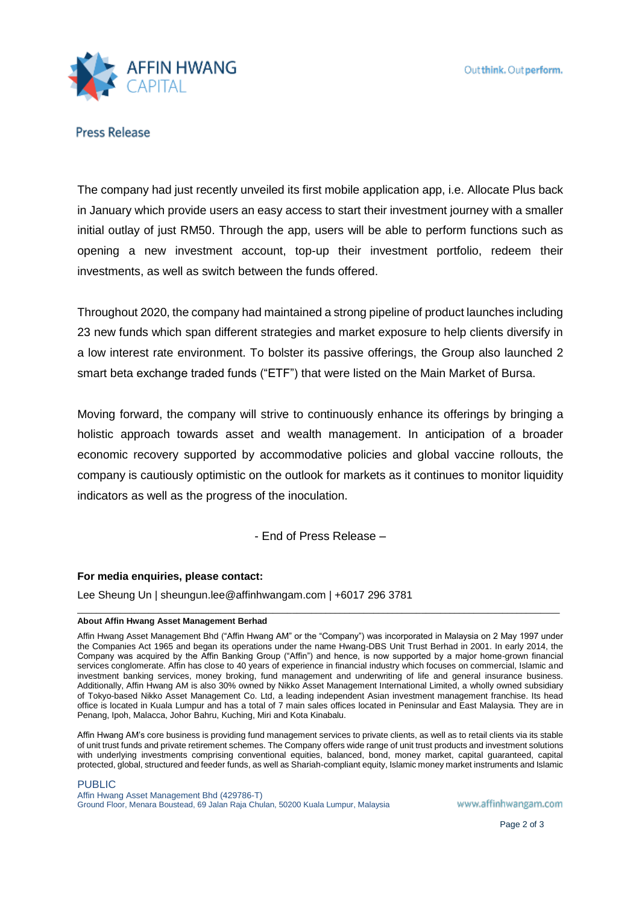

**Press Release** 

The company had just recently unveiled its first mobile application app, i.e. Allocate Plus back in January which provide users an easy access to start their investment journey with a smaller initial outlay of just RM50. Through the app, users will be able to perform functions such as opening a new investment account, top-up their investment portfolio, redeem their investments, as well as switch between the funds offered.

Throughout 2020, the company had maintained a strong pipeline of product launches including 23 new funds which span different strategies and market exposure to help clients diversify in a low interest rate environment. To bolster its passive offerings, the Group also launched 2 smart beta exchange traded funds ("ETF") that were listed on the Main Market of Bursa.

Moving forward, the company will strive to continuously enhance its offerings by bringing a holistic approach towards asset and wealth management. In anticipation of a broader economic recovery supported by accommodative policies and global vaccine rollouts, the company is cautiously optimistic on the outlook for markets as it continues to monitor liquidity indicators as well as the progress of the inoculation.

- End of Press Release –

\_\_\_\_\_\_\_\_\_\_\_\_\_\_\_\_\_\_\_\_\_\_\_\_\_\_\_\_\_\_\_\_\_\_\_\_\_\_\_\_\_\_\_\_\_\_\_\_\_\_\_\_\_\_\_\_\_\_\_\_\_\_\_\_\_\_\_\_\_\_\_\_\_\_\_\_\_\_\_\_\_\_\_\_\_\_\_\_\_\_\_\_\_\_\_\_\_\_\_\_\_

### **For media enquiries, please contact:**

Lee Sheung Un | sheungun.lee@affinhwangam.com | +6017 296 3781

#### **About Affin Hwang Asset Management Berhad**

Affin Hwang Asset Management Bhd ("Affin Hwang AM" or the "Company") was incorporated in Malaysia on 2 May 1997 under the Companies Act 1965 and began its operations under the name Hwang-DBS Unit Trust Berhad in 2001. In early 2014, the Company was acquired by the Affin Banking Group ("Affin") and hence, is now supported by a major home-grown financial services conglomerate. Affin has close to 40 years of experience in financial industry which focuses on commercial, Islamic and investment banking services, money broking, fund management and underwriting of life and general insurance business. Additionally, Affin Hwang AM is also 30% owned by Nikko Asset Management International Limited, a wholly owned subsidiary of Tokyo-based Nikko Asset Management Co. Ltd, a leading independent Asian investment management franchise. Its head office is located in Kuala Lumpur and has a total of 7 main sales offices located in Peninsular and East Malaysia. They are in Penang, Ipoh, Malacca, Johor Bahru, Kuching, Miri and Kota Kinabalu.

Affin Hwang AM's core business is providing fund management services to private clients, as well as to retail clients via its stable of unit trust funds and private retirement schemes. The Company offers wide range of unit trust products and investment solutions with underlying investments comprising conventional equities, balanced, bond, money market, capital guaranteed, capital protected, global, structured and feeder funds, as well as Shariah-compliant equity, Islamic money market instruments and Islamic

#### PUBLIC

Affin Hwang Asset Management Bhd (429786-T) Ground Floor, Menara Boustead, 69 Jalan Raja Chulan, 50200 Kuala Lumpur, Malaysia

www.affinhwangam.com